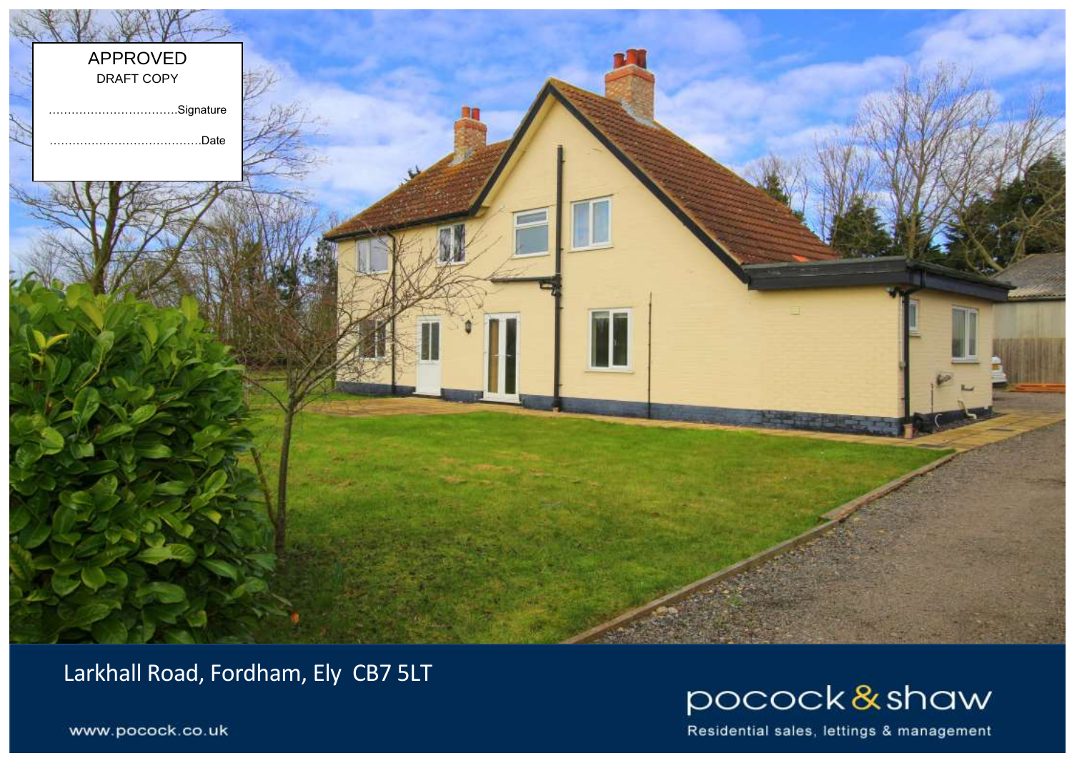

Larkhall Road, Fordham, Ely CB7 5LT



Residential sales, lettings & management

www.pocock.co.uk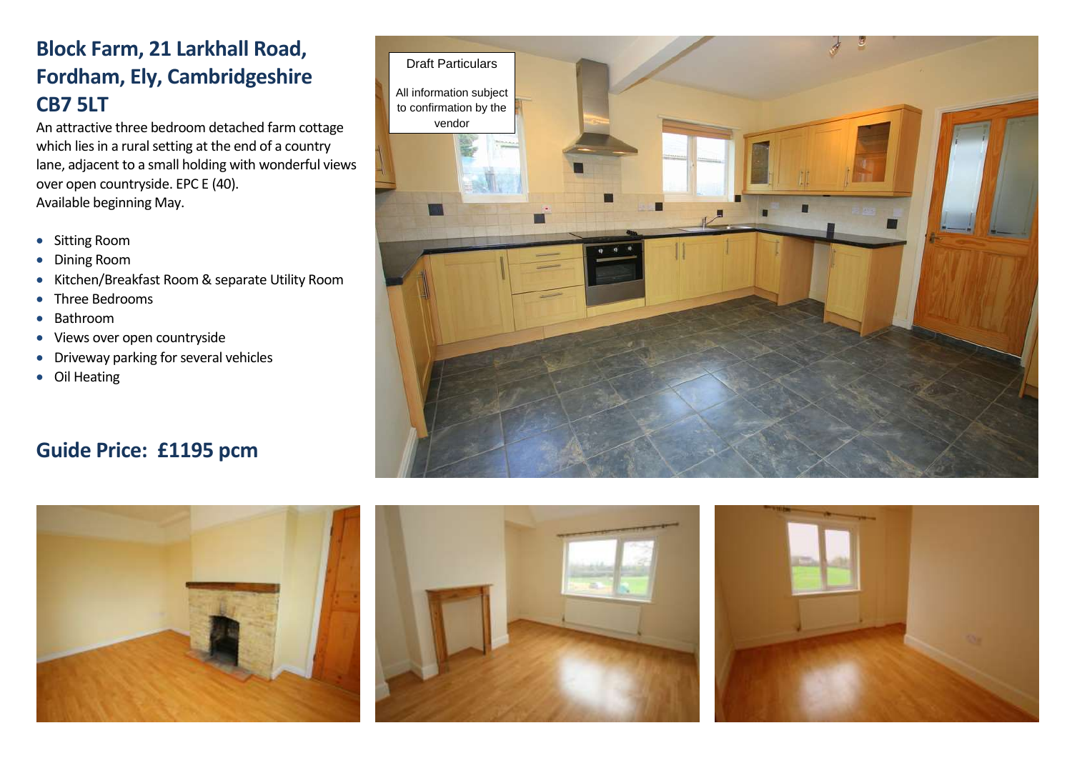## **Block Farm, 21 Larkhall Road, Fordham, Ely, Cambridgeshire CB7 5LT**

An attractive three bedroom detached farm cottage which lies in a rural setting at the end of a country lane, adjacent to a small holding with wonderful views over open countryside. EPC E (40). Available beginning May.

- Sitting Room
- Dining Room
- Kitchen/Breakfast Room & separate Utility Room
- Three Bedrooms
- Bathroom
- Views over open countryside
- **•** Driveway parking for several vehicles
- Oil Heating

## **Guide Price: £1195 pcm**







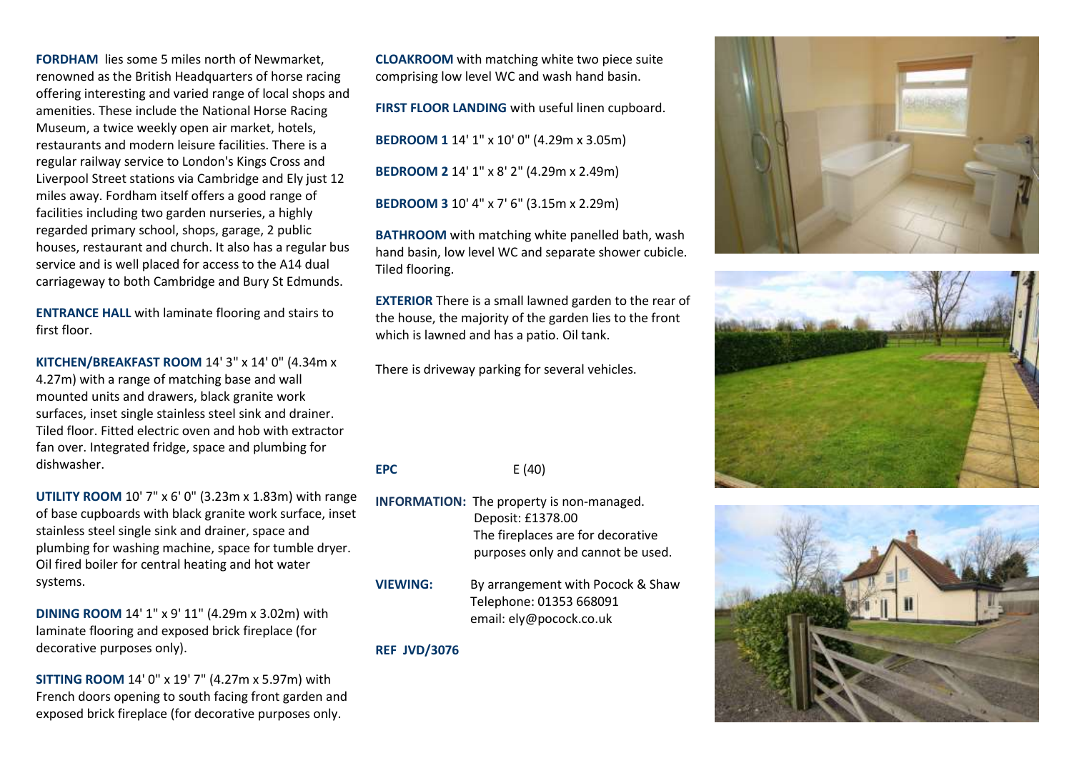**FORDHAM** lies some 5 miles north of Newmarket, renowned as the British Headquarters of horse racing offering interesting and varied range of local shops and amenities. These include the National Horse Racing Museum, a twice weekly open air market, hotels, restaurants and modern leisure facilities. There is a regular railway service to London's Kings Cross and Liverpool Street stations via Cambridge and Ely just 12 miles away. Fordham itself offers a good range of facilities including two garden nurseries, a highly regarded primary school, shops, garage, 2 public houses, restaurant and church. It also has a regular bus service and is well placed for access to the A14 dual carriageway to both Cambridge and Bury St Edmunds.

**ENTRANCE HALL** with laminate flooring and stairs to first floor.

**KITCHEN/BREAKFAST ROOM** 14' 3" x 14' 0" (4.34m x 4.27m) with a range of matching base and wall mounted units and drawers, black granite work surfaces, inset single stainless steel sink and drainer. Tiled floor. Fitted electric oven and hob with extractor fan over. Integrated fridge, space and plumbing for dishwasher.

**UTILITY ROOM** 10' 7" x 6' 0" (3.23m x 1.83m) with range of base cupboards with black granite work surface, inset stainless steel single sink and drainer, space and plumbing for washing machine, space for tumble dryer. Oil fired boiler for central heating and hot water systems.

**DINING ROOM** 14' 1" x 9' 11" (4.29m x 3.02m) with laminate flooring and exposed brick fireplace (for decorative purposes only).

**SITTING ROOM** 14' 0" x 19' 7" (4.27m x 5.97m) with French doors opening to south facing front garden and exposed brick fireplace (for decorative purposes only.

**CLOAKROOM** with matching white two piece suite comprising low level WC and wash hand basin.

**FIRST FLOOR LANDING** with useful linen cupboard. **BEDROOM 1** 14' 1" x 10' 0" (4.29m x 3.05m) **BEDROOM 2** 14' 1" x 8' 2" (4.29m x 2.49m) **BEDROOM 3** 10' 4" x 7' 6" (3.15m x 2.29m)

**BATHROOM** with matching white panelled bath, wash hand basin, low level WC and separate shower cubicle. Tiled flooring.

**EXTERIOR** There is a small lawned garden to the rear of the house, the majority of the garden lies to the front which is lawned and has a patio. Oil tank.

There is driveway parking for several vehicles.

**EPC** E (40)

- **INFORMATION:** The property is non-managed. Deposit: £1378.00 The fireplaces are for decorative purposes only and cannot be used.
- **VIEWING:** By arrangement with Pocock & Shaw Telephone: 01353 668091 email: ely@pocock.co.uk

## **REF JVD/3076**